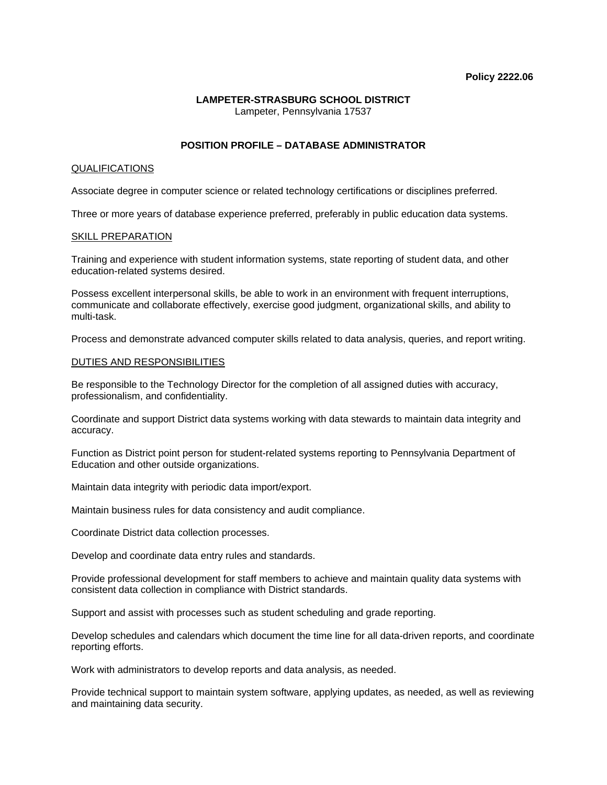#### **LAMPETER-STRASBURG SCHOOL DISTRICT**  Lampeter, Pennsylvania 17537

# **POSITION PROFILE – DATABASE ADMINISTRATOR**

## QUALIFICATIONS

Associate degree in computer science or related technology certifications or disciplines preferred.

Three or more years of database experience preferred, preferably in public education data systems.

#### SKILL PREPARATION

Training and experience with student information systems, state reporting of student data, and other education-related systems desired.

Possess excellent interpersonal skills, be able to work in an environment with frequent interruptions, communicate and collaborate effectively, exercise good judgment, organizational skills, and ability to multi-task.

Process and demonstrate advanced computer skills related to data analysis, queries, and report writing.

### DUTIES AND RESPONSIBILITIES

Be responsible to the Technology Director for the completion of all assigned duties with accuracy, professionalism, and confidentiality.

Coordinate and support District data systems working with data stewards to maintain data integrity and accuracy.

Function as District point person for student-related systems reporting to Pennsylvania Department of Education and other outside organizations.

Maintain data integrity with periodic data import/export.

Maintain business rules for data consistency and audit compliance.

Coordinate District data collection processes.

Develop and coordinate data entry rules and standards.

Provide professional development for staff members to achieve and maintain quality data systems with consistent data collection in compliance with District standards.

Support and assist with processes such as student scheduling and grade reporting.

Develop schedules and calendars which document the time line for all data-driven reports, and coordinate reporting efforts.

Work with administrators to develop reports and data analysis, as needed.

Provide technical support to maintain system software, applying updates, as needed, as well as reviewing and maintaining data security.